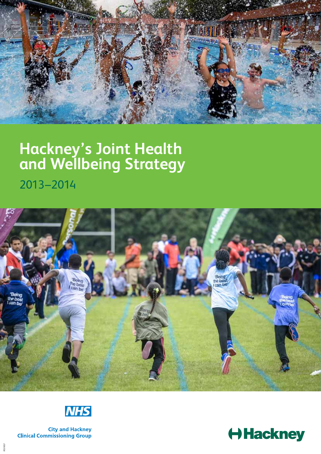

# **Hackney's Joint Health and Wellbeing Strategy**

2013– 2014





**City and Hackney Clinical Commissioning Group** 

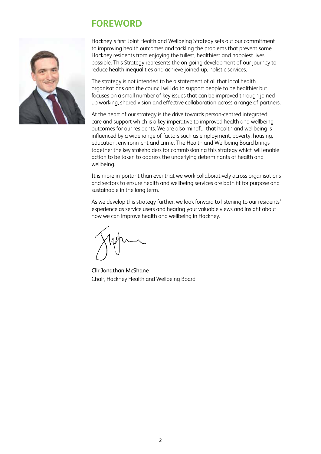# **FOREWORD**



Hackney's first Joint Health and Wellbeing Strategy sets out our commitment to improving health outcomes and tackling the problems that prevent some Hackney residents from enjoying the fullest, healthiest and happiest lives possible. This Strategy represents the on-going development of our journey to reduce health inequalities and achieve joined-up, holistic services.

The strategy is not intended to be a statement of all that local health organisations and the council will do to support people to be healthier but focuses on a small number of key issues that can be improved through joined up working, shared vision and effective collaboration across a range of partners.

At the heart of our strategy is the drive towards person-centred integrated care and support which is a key imperative to improved health and wellbeing outcomes for our residents. We are also mindful that health and wellbeing is influenced by a wide range of factors such as employment, poverty, housing, education, environment and crime. The Health and Wellbeing Board brings together the key stakeholders for commissioning this strategy which will enable action to be taken to address the underlying determinants of health and wellbeing.

It is more important than ever that we work collaboratively across organisations and sectors to ensure health and wellbeing services are both fit for purpose and sustainable in the long term.

As we develop this strategy further, we look forward to listening to our residents' experience as service users and hearing your valuable views and insight about how we can improve health and wellbeing in Hackney.

Cllr Jonathan McShane Chair, Hackney Health and Wellbeing Board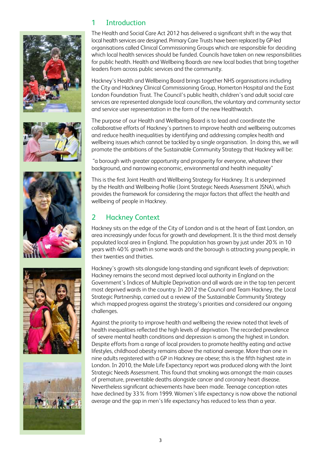









## 1 Introduction

The Health and Social Care Act 2012 has delivered a significant shift in the way that local health services are designed. Primary Care Trusts have been replaced by GP-led organisations called Clinical Commissioning Groups which are responsible for deciding which local health services should be funded. Councils have taken on new responsibilities for public health. Health and Wellbeing Boards are new local bodies that bring together leaders from across public services and the community.

Hackney's Health and Wellbeing Board brings together NHS organisations including the City and Hackney Clinical Commissioning Group, Homerton Hospital and the East London Foundation Trust. The Council's public health, children's and adult social care services are represented alongside local councillors, the voluntary and community sector and service user representation in the form of the new Healthwatch.

The purpose of our Health and Wellbeing Board is to lead and coordinate the collaborative efforts of Hackney's partners to improve health and wellbeing outcomes and reduce health inequalities by identifying and addressing complex health and wellbeing issues which cannot be tackled by a single organisation. In doing this, we will promote the ambitions of the Sustainable Community Strategy that Hackney will be:

 "a borough with greater opportunity and prosperity for everyone, whatever their background, and narrowing economic, environmental and health inequality"

This is the first Joint Health and Wellbeing Strategy for Hackney. It is underpinned by the Health and Wellbeing Profile (Joint Strategic Needs Assessment JSNA), which provides the framework for considering the major factors that affect the health and wellbeing of people in Hackney.

## 2 Hackney Context

Hackney sits on the edge of the City of London and is at the heart of East London, an area increasingly under focus for growth and development. It is the third most densely populated local area in England. The population has grown by just under 20% in 10 years with 40% growth in some wards and the borough is attracting young people, in their twenties and thirties.

Hackney's growth sits alongside long-standing and significant levels of deprivation: Hackney remains the second most deprived local authority in England on the Government's Indices of Multiple Deprivation and all wards are in the top ten percent most deprived wards in the country. In 2012 the Council and Team Hackney, the Local Strategic Partnership, carried out a review of the Sustainable Community Strategy which mapped progress against the strategy's priorities and considered our ongoing challenges.

Against the priority to improve health and wellbeing the review noted that levels of health inequalities reflected the high levels of deprivation. The recorded prevalence of severe mental health conditions and depression is among the highest in London. Despite efforts from a range of local providers to promote healthy eating and active lifestyles, childhood obesity remains above the national average. More than one in nine adults registered with a GP in Hackney are obese; this is the fifth highest rate in London. In 2010, the Male Life Expectancy report was produced along with the Joint Strategic Needs Assessment. This found that smoking was amongst the main causes of premature, preventable deaths alongside cancer and coronary heart disease. Nevertheless significant achievements have been made. Teenage conception rates have declined by 33% from 1999. Women's life expectancy is now above the national average and the gap in men's life expectancy has reduced to less than a year.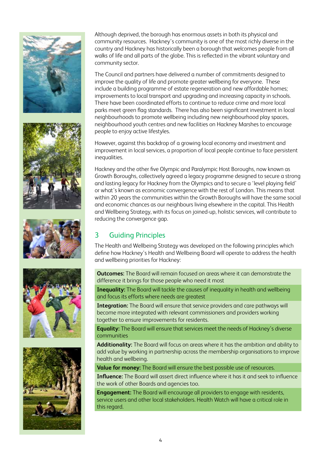









Although deprived, the borough has enormous assets in both its physical and community resources. Hackney's community is one of the most richly diverse in the country and Hackney has historically been a borough that welcomes people from all walks of life and all parts of the globe. This is reflected in the vibrant voluntary and community sector.

The Council and partners have delivered a number of commitments designed to improve the quality of life and promote greater wellbeing for everyone. These include a building programme of estate regeneration and new affordable homes; improvements to local transport and upgrading and increasing capacity in schools. There have been coordinated efforts to continue to reduce crime and more local parks meet green flag standards. There has also been significant investment in local neighbourhoods to promote wellbeing including new neighbourhood play spaces, neighbourhood youth centres and new facilities on Hackney Marshes to encourage people to enjoy active lifestyles.

However, against this backdrop of a growing local economy and investment and improvement in local services, a proportion of local people continue to face persistent inequalities.

Hackney and the other five Olympic and Paralympic Host Boroughs, now known as Growth Boroughs, collectively agreed a legacy programme designed to secure a strong and lasting legacy for Hackney from the Olympics and to secure a 'level playing field' or what's known as economic convergence with the rest of London. This means that within 20 years the communities within the Growth Boroughs will have the same social and economic chances as our neighbours living elsewhere in the capital. This Health and Wellbeing Strategy, with its focus on joined-up, holistic services, will contribute to reducing the convergence gap.

## 3 Guiding Principles

The Health and Wellbeing Strategy was developed on the following principles which define how Hackney's Health and Wellbeing Board will operate to address the health and wellbeing priorities for Hackney:

**Outcomes:** The Board will remain focused on areas where it can demonstrate the difference it brings for those people who need it most

**Inequality:** The Board will tackle the causes of inequality in health and wellbeing and focus its efforts where needs are greatest

**Integration:** The Board will ensure that service providers and care pathways will become more integrated with relevant commissioners and providers working together to ensure improvements for residents.

**Equality:** The Board will ensure that services meet the needs of Hackney's diverse communities

**Additionality:** The Board will focus on areas where it has the ambition and ability to add value by working in partnership across the membership organisations to improve health and wellbeing.

**Value for money:** The Board will ensure the best possible use of resources.

**Influence:** The Board will assert direct influence where it has it and seek to influence the work of other Boards and agencies too.

**Engagement:** The Board will encourage all providers to engage with residents, service users and other local stakeholders. Health Watch will have a critical role in this regard.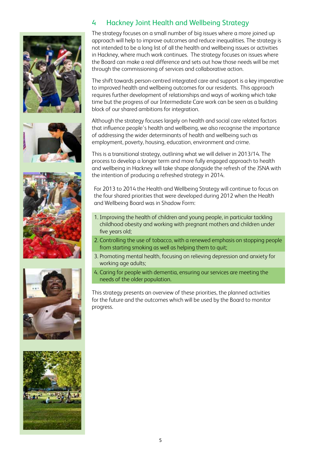









## 4 Hackney Joint Health and Wellbeing Strategy

The strategy focuses on a small number of big issues where a more joined up approach will help to improve outcomes and reduce inequalities. The strategy is not intended to be a long list of all the health and wellbeing issues or activities in Hackney, where much work continues. The strategy focuses on issues where the Board can make a real difference and sets out how those needs will be met through the commissioning of services and collaborative action.

The shift towards person-centred integrated care and support is a key imperative to improved health and wellbeing outcomes for our residents. This approach requires further development of relationships and ways of working which take time but the progress of our Intermediate Care work can be seen as a building block of our shared ambitions for integration.

Although the strategy focuses largely on health and social care related factors that influence people's health and wellbeing, we also recognise the importance of addressing the wider determinants of health and wellbeing such as employment, poverty, housing, education, environment and crime.

This is a transitional strategy, outlining what we will deliver in 2013/14. The process to develop a longer term and more fully engaged approach to health and wellbeing in Hackney will take shape alongside the refresh of the JSNA with the intention of producing a refreshed strategy in 2014.

For 2013 to 2014 the Health and Wellbeing Strategy will continue to focus on the four shared priorities that were developed during 2012 when the Health and Wellbeing Board was in Shadow Form:

- 1. Improving the health of children and young people, in particular tackling childhood obesity and working with pregnant mothers and children under five years old;
- 2. Controlling the use of tobacco, with a renewed emphasis on stopping people from starting smoking as well as helping them to quit;
- 3. Promoting mental health, focusing on relieving depression and anxiety for working age adults;
- 4. Caring for people with dementia, ensuring our services are meeting the needs of the older population.

This strategy presents an overview of these priorities, the planned activities for the future and the outcomes which will be used by the Board to monitor progress.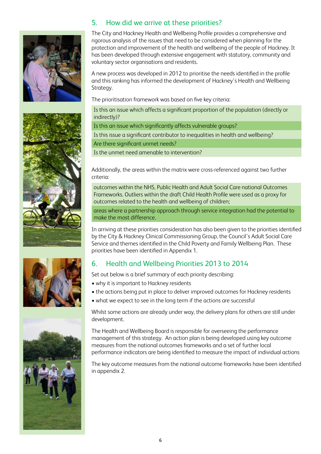



The City and Hackney Health and Wellbeing Profile provides a comprehensive and rigorous analysis of the issues that need to be considered when planning for the protection and improvement of the health and wellbeing of the people of Hackney. It has been developed through extensive engagement with statutory, community and voluntary sector organisations and residents.

A new process was developed in 2012 to prioritise the needs identified in the profile and this ranking has informed the development of Hackney's Health and Wellbeing Strategy.

The prioritisation framework was based on five key criteria:

Is this an issue which affects a significant proportion of the population (directly or indirectly)?

Is this an issue which significantly affects vulnerable groups?

Is this issue a significant contributor to inequalities in health and wellbeing?

Are there significant unmet needs?

Is the unmet need amenable to intervention?

Additionally, the areas within the matrix were cross-referenced against two further criteria:

outcomes within the NHS, Public Health and Adult Social Care national Outcomes Frameworks. Outliers within the draft Child Health Profile were used as a proxy for outcomes related to the health and wellbeing of children;

areas where a partnership approach through service integration had the potential to make the most difference.

In arriving at these priorities consideration has also been given to the priorities identified by the City & Hackney Clinical Commissioning Group, the Council's Adult Social Care Service and themes identified in the Child Poverty and Family Wellbeing Plan. These priorities have been identified in Appendix 1.

## 6. Health and Wellbeing Priorities 2013 to 2014

Set out below is a brief summary of each priority describing:

- why it is important to Hackney residents
- the actions being put in place to deliver improved outcomes for Hackney residents
- what we expect to see in the long term if the actions are successful

Whilst some actions are already under way, the delivery plans for others are still under development.

The Health and Wellbeing Board is responsible for overseeing the performance management of this strategy. An action plan is being developed using key outcome measures from the national outcomes frameworks and a set of further local performance indicators are being identified to measure the impact of individual actions

The key outcome measures from the national outcome frameworks have been identified in appendix 2.





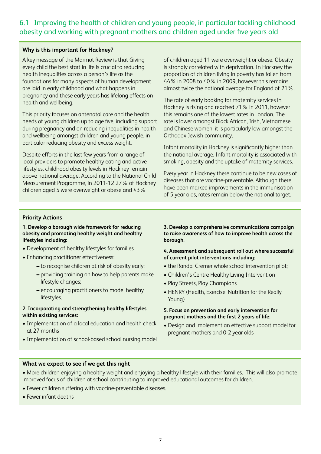## 6.1 Improving the health of children and young people, in particular tackling childhood obesity and working with pregnant mothers and children aged under five years old

#### **Why is this important for Hackney?**

A key message of the Marmot Review is that Giving every child the best start in life is crucial to reducing health inequalities across a person's life as the foundations for many aspects of human development are laid in early childhood and what happens in pregnancy and these early years has lifelong effects on health and wellbeing.

This priority focuses on antenatal care and the health needs of young children up to age five, including support during pregnancy and on reducing inequalities in health and wellbeing amongst children and young people, in particular reducing obesity and excess weight.

Despite efforts in the last few years from a range of local providers to promote healthy eating and active lifestyles, childhood obesity levels in Hackney remain above national average. According to the National Child Measurement Programme, in 2011-12 27% of Hackney children aged 5 were overweight or obese and 43%

of children aged 11 were overweight or obese. Obesity is strongly correlated with deprivation. In Hackney the proportion of children living in poverty has fallen from 44% in 2008 to 40% in 2009, however this remains almost twice the national average for England of 21%.

The rate of early booking for maternity services in Hackney is rising and reached 71% in 2011, however this remains one of the lowest rates in London. The rate is lower amongst Black African, Irish, Vietnamese and Chinese women, it is particularly low amongst the Orthodox Jewish community.

Infant mortality in Hackney is significantly higher than the national average. Infant mortality is associated with smoking, obesity and the uptake of maternity services.

Every year in Hackney there continue to be new cases of diseases that are vaccine-preventable. Although there have been marked improvements in the immunisation of 5 year olds, rates remain below the national target.

#### **Priority Actions**

#### **1. Develop a borough wide framework for reducing obesity and promoting healthy weight and healthy lifestyles including:**

- Development of healthy lifestyles for families
- Enhancing practitioner effectiveness:
	- **–** to recognise children at risk of obesity early;
	- **–** providing training on how to help parents make lifestyle changes;
	- **–** encouraging practitioners to model healthy lifestyles.

#### **2. Incorporating and strengthening healthy lifestyles within existing services:**

- Implementation of a local education and health check at 27 months
- Implementation of school-based school nursing model

**3. Develop a comprehensive communications campaign to raise awareness of how to improve health across the borough.**

#### **4. Assessment and subsequent roll out where successful of current pilot interventions including:**

- the Randal Cremer whole school intervention pilot;
- Children's Centre Healthy Living Intervention
- Play Streets, Play Champions
- HENRY (Health, Exercise, Nutrition for the Really Young)

#### **5. Focus on prevention and early intervention for pregnant mothers and the first 2 years of life:**

• Design and implement an effective support model for pregnant mothers and 0-2 year olds

- More children enjoying a healthy weight and enjoying a healthy lifestyle with their families. This will also promote improved focus of children at school contributing to improved educational outcomes for children.
- Fewer children suffering with vaccine-preventable diseases.
- Fewer infant deaths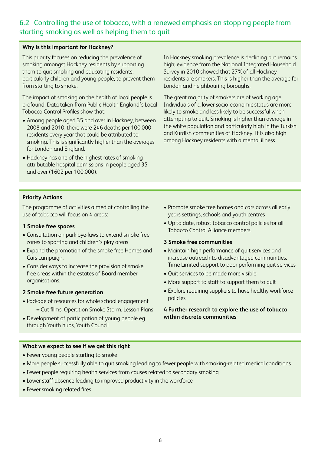## 6.2 Controlling the use of tobacco, with a renewed emphasis on stopping people from starting smoking as well as helping them to quit

#### **Why is this important for Hackney?**

This priority focuses on reducing the prevalence of smoking amongst Hackney residents by supporting them to quit smoking and educating residents, particularly children and young people, to prevent them from starting to smoke.

The impact of smoking on the health of local people is profound. Data taken from Public Health England's Local Tobacco Control Profiles show that:

- Among people aged 35 and over in Hackney, between 2008 and 2010, there were 246 deaths per 100,000 residents every year that could be attributed to smoking. This is significantly higher than the averages for London and England.
- Hackney has one of the highest rates of smoking attributable hospital admissions in people aged 35 and over (1602 per 100,000).

In Hackney smoking prevalence is declining but remains high; evidence from the National Integrated Household Survey in 2010 showed that 27%of all Hackney residents are smokers. This is higher than the average for London and neighbouring boroughs.

The great majority of smokers are of working age. Individuals of a lower socio-economic status are more likely to smoke and less likely to be successful when attempting to quit. Smoking is higher than average in the white population and particularly high in the Turkish and Kurdish communities of Hackney. It is also high among Hackney residents with a mental illness.

#### **Priority Actions**

The programme of activities aimed at controlling the use of tobacco will focus on 4 areas:

- **1 Smoke free spaces**
- Consultation on park bye-laws to extend smoke free zones to sporting and children's play areas
- Expand the promotion of the smoke free Homes and Cars campaign.
- Consider ways to increase the provision of smoke free areas within the estates of Board member organisations.

#### **2 Smoke free future generation**

- Package of resources for whole school engagement **–** Cut films, Operation Smoke Storm, Lesson Plans
- Development of participation of young people eg through Youth hubs, Youth Council
- Promote smoke free homes and cars across all early years settings, schools and youth centres
- Up to date, robust tobacco control policies for all Tobacco Control Alliance members.

#### **3 Smoke free communities**

- Maintain high performance of quit services and increase outreach to disadvantaged communities. Time Limited support to poor performing quit services
- Quit services to be made more visible
- More support to staff to support them to quit
- Explore requiring suppliers to have healthy workforce policies

#### **4 Further research to explore the use of tobacco within discrete communities**

- Fewer young people starting to smoke
- More people successfully able to quit smoking leading to fewer people with smoking-related medical conditions
- Fewer people requiring health services from causes related to secondary smoking
- Lower staff absence leading to improved productivity in the workforce
- Fewer smoking related fires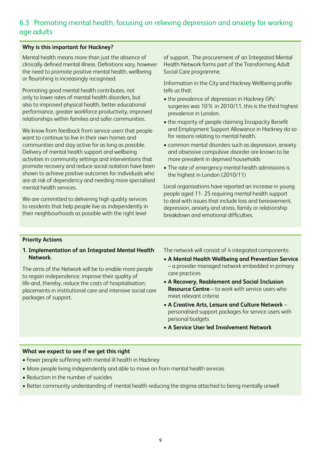## 6.3 Promoting mental health, focusing on relieving depression and anxiety for working age adults

#### **Why is this important for Hackney?**

Mental health means more than just the absence of clinically defined mental illness. Definitions vary, however the need to promote positive mental health, wellbeing or flourishing is increasingly recognised.

Promoting good mental health contributes, not only to lower rates of mental health disorders, but also to improved physical health, better educational performance, greater workforce productivity, improved relationships within families and safer communities.

We know from feedback from service users that people want to continue to live in their own homes and communities and stay active for as long as possible. Delivery of mental health support and wellbeing activities in community settings and interventions that promote recovery and reduce social isolation have been shown to achieve positive outcomes for individuals who are at risk of dependency and needing more specialised mental health services.

We are committed to delivering high quality services to residents that help people live as independently in their neighbourhoods as possible with the right level

of support. The procurement of an Integrated Mental Health Network forms part of the Transforming Adult Social Care programme.

Information in the City and Hackney Wellbeing profile tells us that:

- the prevalence of depression in Hackney GPs' surgeries was 10% in 2010/11, this is the third highest prevalence in London.
- the majority of people claiming Incapacity Benefit and Employment Support Allowance in Hackney do so for reasons relating to mental health.
- common mental disorders such as depression, anxiety and obsessive compulsive disorder are known to be more prevalent in deprived households
- The rate of emergency mental health admissions is the highest in London (2010/11)

Local organisations have reported an increase in young people aged 11- 25 requiring mental health support to deal with issues that include loss and bereavement, depression, anxiety and stress, family or relationship breakdown and emotional difficulties.

#### **Priority Actions**

#### **1. Implementation of an Integrated Mental Health Network.**

The aims of the Network will be to enable more people to regain independence, improve their quality of life and, thereby, reduce the costs of hospitalisation; placements in institutional care and intensive social care packages of support.

The network will consist of 4 integrated components:

- **A Mental Health Wellbeing and Prevention Service** – a provider managed network embedded in primary care practices
- **A Recovery, Reablement and Social Inclusion Resource Centre** – to work with service users who meet relevant criteria
- **A Creative Arts, Leisure and Culture Network**  personalised support packages for service users with personal budgets
- **A Service User led Involvement Network**

- Fewer people suffering with mental ill health in Hackney
- More people living independently and able to move on from mental health services
- Reduction in the number of suicides
- Better community understanding of mental health reducing the stigma attached to being mentally unwell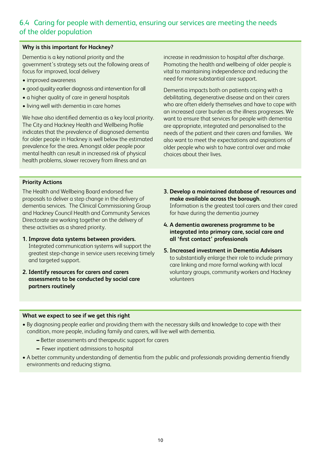## 6.4 Caring for people with dementia, ensuring our services are meeting the needs of the older population

#### **Why is this important for Hackney?**

Dementia is a key national priority and the government's strategy sets out the following areas of focus for improved, local delivery

- improved awareness
- good quality earlier diagnosis and intervention for all
- a higher quality of care in general hospitals
- living well with dementia in care homes

We have also identified dementia as a key local priority. The City and Hackney Health and Wellbeing Profile indicates that the prevalence of diagnosed dementia for older people in Hackney is well below the estimated prevalence for the area. Amongst older people poor mental health can result in increased risk of physical health problems, slower recovery from illness and an

increase in readmission to hospital after discharge. Promoting the health and wellbeing of older people is vital to maintaining independence and reducing the need for more substantial care support.

Dementia impacts both on patients coping with a debilitating, degenerative disease and on their carers who are often elderly themselves and have to cope with an increased carer burden as the illness progresses. We want to ensure that services for people with dementia are appropriate, integrated and personalised to the needs of the patient and their carers and families. We also want to meet the expectations and aspirations of older people who wish to have control over and make choices about their lives.

#### **Priority Actions**

The Health and Wellbeing Board endorsed five proposals to deliver a step change in the delivery of dementia services. The Clinical Commissioning Group and Hackney Council Health and Community Services Directorate are working together on the delivery of these activities as a shared priority.

- **1. Improve data systems between providers.** Integrated communication systems will support the greatest step-change in service users receiving timely and targeted support.
- **2. Identify resources for carers and carers assessments to be conducted by social care partners routinely**
- **3. Develop a maintained database of resources and make available across the borough.**  Information is the greatest tool carers and their cared for have during the dementia journey
- **4. A dementia awareness programme to be integrated into primary care, social care and all 'first contact' professionals**
- **5. Increased investment in Dementia Advisors**  to substantially enlarge their role to include primary care linking and more formal working with local voluntary groups, community workers and Hackney volunteers

- By diagnosing people earlier and providing them with the necessary skills and knowledge to cope with their condition, more people, including family and carers, will live well with dementia.
	- **–** Better assessments and therapeutic support for carers
	- **–** Fewer inpatient admissions to hospital
- A better community understanding of dementia from the public and professionals providing dementia friendly environments and reducing stigma.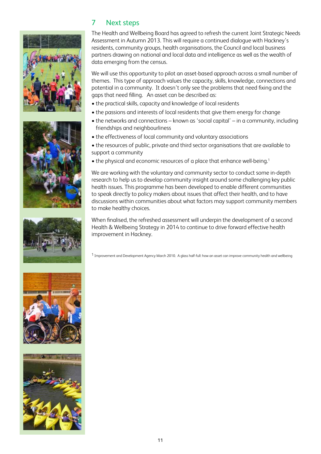









### 7 Next steps

The Health and Wellbeing Board has agreed to refresh the current Joint Strategic Needs Assessment in Autumn 2013. This will require a continued dialogue with Hackney's residents, community groups, health organisations, the Council and local business partners drawing on national and local data and intelligence as well as the wealth of data emerging from the census.

We will use this opportunity to pilot an asset-based approach across a small number of themes. This type of approach values the capacity, skills, knowledge, connections and potential in a community. It doesn't only see the problems that need fixing and the gaps that need filling. An asset can be described as:

- the practical skills, capacity and knowledge of local residents
- the passions and interests of local residents that give them energy for change
- the networks and connections known as 'social capital' in a community, including friendships and neighbourliness
- the effectiveness of local community and voluntary associations
- the resources of public, private and third sector organisations that are available to support a community
- the physical and economic resources of a place that enhance well-being.<sup>1</sup>

We are working with the voluntary and community sector to conduct some in-depth research to help us to develop community insight around some challenging key public health issues. This programme has been developed to enable different communities to speak directly to policy makers about issues that affect their health, and to have discussions within communities about what factors may support community members to make healthy choices.

When finalised, the refreshed assessment will underpin the development of a second Health & Wellbeing Strategy in 2014 to continue to drive forward effective health improvement in Hackney.

1 Improvement and Development Agency March 2010. A glass half-full: how an asset can improve community health and wellbeing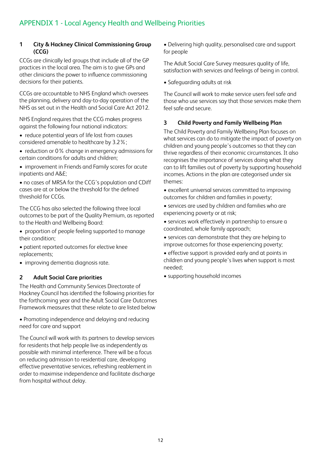#### **1 City & Hackney Clinical Commissioning Group (CCG)**

CCGs are clinically led groups that include all of the GP practices in the local area. The aim is to give GPs and other clinicians the power to influence commissioning decisions for their patients.

CCGs are accountable to NHS England which oversees the planning, delivery and day-to-day operation of the NHS as set out in the Health and Social Care Act 2012.

NHS England requires that the CCG makes progress against the following four national indicators:

- reduce potential years of life lost from causes considered amenable to healthcare by 3.2%;
- reduction or 0% change in emergency admissions for certain conditions for adults and children;
- improvement in Friends and Family scores for acute inpatients and A&E;

• no cases of MRSA for the CCG's population and CDiff cases are at or below the threshold for the defined threshold for CCGs.

The CCG has also selected the following three local outcomes to be part of the Quality Premium, as reported to the Health and Wellbeing Board:

- proportion of people feeling supported to manage their condition;
- patient reported outcomes for elective knee replacements;
- improving dementia diagnosis rate.

#### **2 Adult Social Care priorities**

The Health and Community Services Directorate of Hackney Council has identified the following priorities for the forthcoming year and the Adult Social Care Outcomes Framework measures that these relate to are listed below

• Promoting independence and delaying and reducing need for care and support

The Council will work with its partners to develop services for residents that help people live as independently as possible with minimal interference. There will be a focus on reducing admission to residential care, developing effective preventative services, refreshing reablement in order to maximise independence and facilitate discharge from hospital without delay.

• Delivering high quality, personalised care and support for people

The Adult Social Care Survey measures quality of life, satisfaction with services and feelings of being in control.

• Safeguarding adults at risk

The Council will work to make service users feel safe and those who use services say that those services make them feel safe and secure.

#### **3 Child Poverty and Family Wellbeing Plan**

The Child Poverty and Family Wellbeing Plan focuses on what services can do to mitigate the impact of poverty on children and young people's outcomes so that they can thrive regardless of their economic circumstances. It also recognises the importance of services doing what they can to lift families out of poverty by supporting household incomes. Actions in the plan are categorised under six themes:

- excellent universal services committed to improving outcomes for children and families in poverty;
- services are used by children and families who are experiencing poverty or at risk;
- services work effectively in partnership to ensure a coordinated, whole family approach;
- services can demonstrate that they are helping to improve outcomes for those experiencing poverty;
- effective support is provided early and at points in children and young people's lives when support is most needed;
- supporting household incomes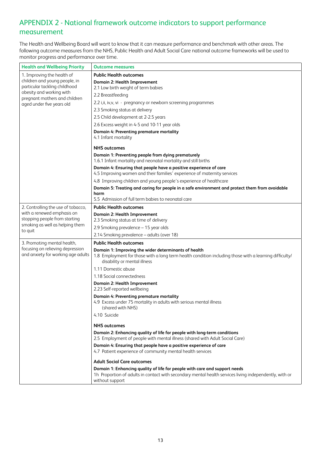## APPENDIX 2 - National framework outcome indicators to support performance measurement

The Health and Wellbeing Board will want to know that it can measure performance and benchmark with other areas. The following outcome measures from the NHS, Public Health and Adult Social Care national outcome frameworks will be used to monitor progress and performance over time.

| <b>Health and Wellbeing Priority</b>                                                                                        | <b>Outcome measures</b>                                                                                                                                  |
|-----------------------------------------------------------------------------------------------------------------------------|----------------------------------------------------------------------------------------------------------------------------------------------------------|
| 1. Improving the health of                                                                                                  | <b>Public Health outcomes</b>                                                                                                                            |
| children and young people, in<br>particular tackling childhood<br>obesity and working with<br>pregnant mothers and children | <b>Domain 2: Health Improvement</b>                                                                                                                      |
|                                                                                                                             | 2.1 Low birth weight of term babies                                                                                                                      |
|                                                                                                                             | 2.2 Breastfeeding                                                                                                                                        |
| aged under five years old                                                                                                   | 2.2 i,ii, iv, v, vi - pregnancy or newborn screening programmes                                                                                          |
|                                                                                                                             | 2.3 Smoking status at delivery                                                                                                                           |
|                                                                                                                             | 2.5 Child development at 2-2.5 years                                                                                                                     |
|                                                                                                                             | 2.6 Excess weight in 4-5 and 10-11 year olds                                                                                                             |
|                                                                                                                             | Domain 4: Preventing premature mortality                                                                                                                 |
|                                                                                                                             | 4.1 Infant mortality                                                                                                                                     |
|                                                                                                                             | <b>NHS</b> outcomes                                                                                                                                      |
|                                                                                                                             | Domain 1: Preventing people from dying prematurely<br>1.6.1 Infant mortality and neonatal mortality and still births                                     |
|                                                                                                                             | Domain 4: Ensuring that people have a positive experience of care                                                                                        |
|                                                                                                                             | 4.5 Improving women and their families' experience of maternity services                                                                                 |
|                                                                                                                             | 4.8 Improving children and young people's experience of healthcare                                                                                       |
|                                                                                                                             | Domain 5: Treating and caring for people in a safe environment and protect them from avoidable<br>harm                                                   |
|                                                                                                                             | 5.5 Admission of full term babies to neonatal care                                                                                                       |
| 2. Controlling the use of tobacco,                                                                                          | <b>Public Health outcomes</b>                                                                                                                            |
| with a renewed emphasis on                                                                                                  | Domain 2: Health Improvement                                                                                                                             |
| stopping people from starting                                                                                               | 2.3 Smoking status at time of delivery                                                                                                                   |
| smoking as well as helping them                                                                                             | 2.9 Smoking prevalence - 15 year olds                                                                                                                    |
| to quit                                                                                                                     | 2.14 Smoking prevalence - adults (over 18)                                                                                                               |
| 3. Promoting mental health,                                                                                                 | <b>Public Health outcomes</b>                                                                                                                            |
| focusing on relieving depression                                                                                            | Domain 1: Improving the wider determinants of health                                                                                                     |
| and anxiety for working age adults                                                                                          | 1.8 Employment for those with a long term health condition including those with a learning difficulty/<br>disability or mental illness                   |
|                                                                                                                             | 1.11 Domestic abuse                                                                                                                                      |
|                                                                                                                             | 1.18 Social connectedness                                                                                                                                |
|                                                                                                                             | <b>Domain 2: Health Improvement</b><br>2.23 Self-reported wellbeing                                                                                      |
|                                                                                                                             | Domain 4: Preventing premature mortality<br>4.9 Excess under 75 mortality in adults with serious mental illness<br>(shared with NHS)                     |
|                                                                                                                             | 4.10 Suicide                                                                                                                                             |
|                                                                                                                             | <b>NHS outcomes</b>                                                                                                                                      |
|                                                                                                                             | Domain 2: Enhancing quality of life for people with long-term conditions<br>2.5 Employment of people with mental illness (shared with Adult Social Care) |
|                                                                                                                             | Domain 4: Ensuring that people have a positive experience of care<br>4.7 Patient experience of community mental health services                          |
|                                                                                                                             | <b>Adult Social Care outcomes</b>                                                                                                                        |
|                                                                                                                             | Domain 1: Enhancing quality of life for people with care and support needs                                                                               |
|                                                                                                                             | 1h Proportion of adults in contact with secondary mental health services living independently, with or<br>without support                                |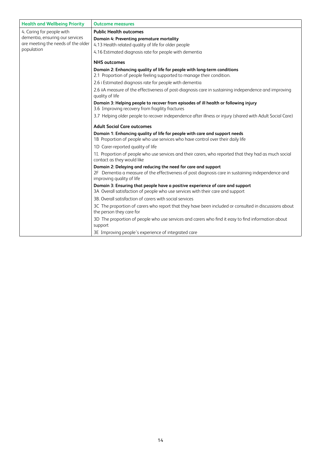| <b>Health and Wellbeing Priority</b>                                  | <b>Outcome measures</b>                                                                                                                                                                        |  |
|-----------------------------------------------------------------------|------------------------------------------------------------------------------------------------------------------------------------------------------------------------------------------------|--|
| 4. Caring for people with                                             | <b>Public Health outcomes</b>                                                                                                                                                                  |  |
| dementia, ensuring our services<br>are meeting the needs of the older | Domain 4: Preventing premature mortality<br>4.13 Health related quality of life for older people                                                                                               |  |
| population                                                            | 4.16 Estimated diagnosis rate for people with dementia                                                                                                                                         |  |
|                                                                       | <b>NHS outcomes</b>                                                                                                                                                                            |  |
|                                                                       | Domain 2: Enhancing quality of life for people with long-term conditions<br>2.1 Proportion of people feeling supported to manage their condition.                                              |  |
|                                                                       | 2.6 i Estimated diagnosis rate for people with dementia                                                                                                                                        |  |
|                                                                       | 2.6 iiA measure of the effectiveness of post-diagnosis care in sustaining independence and improving<br>quality of life                                                                        |  |
|                                                                       | Domain 3: Helping people to recover from episodes of ill health or following injury<br>3.6 Improving recovery from fragility fractures                                                         |  |
|                                                                       | 3.7 Helping older people to recover independence after illness or injury (shared with Adult Social Care)                                                                                       |  |
|                                                                       | <b>Adult Social Care outcomes</b>                                                                                                                                                              |  |
|                                                                       | Domain 1: Enhancing quality of life for people with care and support needs<br>1B Proportion of people who use services who have control over their daily life                                  |  |
|                                                                       | 1D Carer-reported quality of life                                                                                                                                                              |  |
|                                                                       | 11. Proportion of people who use services and their carers, who reported that they had as much social<br>contact as they would like                                                            |  |
|                                                                       | Domain 2: Delaying and reducing the need for care and support<br>2F Dementia a measure of the effectiveness of post diagnosis care in sustaining independence and<br>improving quality of life |  |
|                                                                       | Domain 3: Ensuring that people have a positive experience of care and support<br>3A Overall satisfaction of people who use services with their care and support                                |  |
|                                                                       | 3B. Overall satisfaction of carers with social services                                                                                                                                        |  |
|                                                                       | 3C The proportion of carers who report that they have been included or consulted in discussions about<br>the person they care for                                                              |  |
|                                                                       | 3D The proportion of people who use services and carers who find it easy to find information about<br>support                                                                                  |  |
|                                                                       | 3E Improving people's experience of integrated care                                                                                                                                            |  |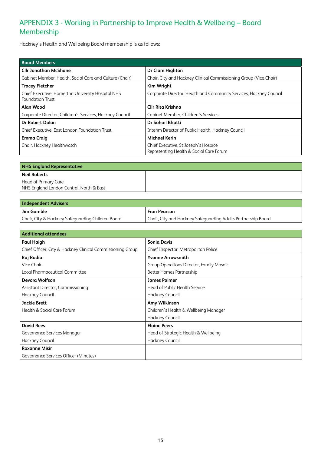# APPENDIX 3 - Working in Partnership to Improve Health & Wellbeing – Board Membership

Hackney's Health and Wellbeing Board membership is as follows:

| <b>Board Members</b>                                                         |                                                                                 |  |  |  |
|------------------------------------------------------------------------------|---------------------------------------------------------------------------------|--|--|--|
| <b>Cllr Jonathan McShane</b>                                                 | Dr Clare Highton                                                                |  |  |  |
| Cabinet Member, Health, Social Care and Culture (Chair)                      | Chair, City and Hackney Clinical Commissioning Group (Vice Chair)               |  |  |  |
| <b>Tracey Fletcher</b>                                                       | <b>Kim Wright</b>                                                               |  |  |  |
| Chief Executive, Homerton University Hospital NHS<br><b>Foundation Trust</b> | Corporate Director, Health and Community Services, Hackney Council              |  |  |  |
| Alan Wood                                                                    | <b>Cllr Rita Krishna</b>                                                        |  |  |  |
| Corporate Director, Children's Services, Hackney Council                     | Cabinet Member, Children's Services                                             |  |  |  |
| <b>Dr Robert Dolan</b>                                                       | Dr Sohail Bhatti                                                                |  |  |  |
| Chief Executive, East London Foundation Trust                                | Interim Director of Public Health, Hackney Council                              |  |  |  |
| <b>Emma Craig</b>                                                            | <b>Michael Kerin</b>                                                            |  |  |  |
| Chair, Hackney Healthwatch                                                   | Chief Executive, St Joseph's Hospice<br>Representing Health & Social Care Forum |  |  |  |

| <b>NHS England Representative</b>        |  |  |
|------------------------------------------|--|--|
| Neil Roberts                             |  |  |
| Head of Primary Care                     |  |  |
| NHS England London Central, North & East |  |  |

| Independent Advisers                              |                                                               |  |  |
|---------------------------------------------------|---------------------------------------------------------------|--|--|
| Jim Gamble                                        | <b>Fran Pearson</b>                                           |  |  |
| Chair, City & Hackney Safeguarding Children Board | Chair, City and Hackney Safeguarding Adults Partnership Board |  |  |

| <b>Additional attendees</b>                                |                                          |  |  |  |
|------------------------------------------------------------|------------------------------------------|--|--|--|
| <b>Paul Haigh</b>                                          | <b>Sonia Davis</b>                       |  |  |  |
| Chief Officer, City & Hackney Clinical Commissioning Group | Chief Inspector, Metropolitan Police     |  |  |  |
| Raj Radia                                                  | <b>Yvonne Arrowsmith</b>                 |  |  |  |
| Vice Chair                                                 | Group Operations Director, Family Mosaic |  |  |  |
| Local Pharmaceutical Committee                             | <b>Better Homes Partnership</b>          |  |  |  |
| Devora Wolfson                                             | <b>James Palmer</b>                      |  |  |  |
| Assistant Director, Commissioning                          | Head of Public Health Service            |  |  |  |
| <b>Hackney Council</b>                                     | Hackney Council                          |  |  |  |
| <b>Jackie Brett</b>                                        | Amy Wilkinson                            |  |  |  |
| Health & Social Care Forum                                 | Children's Health & Wellbeing Manager    |  |  |  |
|                                                            | <b>Hackney Council</b>                   |  |  |  |
| <b>David Rees</b>                                          | <b>Elaine Peers</b>                      |  |  |  |
| Governance Services Manager                                | Head of Strategic Health & Wellbeing     |  |  |  |
| Hackney Council                                            | <b>Hackney Council</b>                   |  |  |  |
| <b>Roxanne Misir</b>                                       |                                          |  |  |  |
| Governance Services Officer (Minutes)                      |                                          |  |  |  |